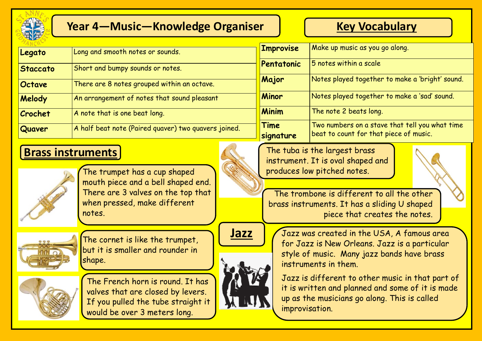

# **Year 4—Music—Knowledge Organiser Key Vocabulary**

| Legato          | Long and smooth notes or sounds.                     |  |
|-----------------|------------------------------------------------------|--|
| <b>Staccato</b> | Short and bumpy sounds or notes.                     |  |
| Octave          | There are 8 notes grouped within an octave.          |  |
| Melody          | An arrangement of notes that sound pleasant          |  |
| Crochet         | A note that is one beat long.                        |  |
| Quaver          | A half beat note (Paired quaver) two quavers joined. |  |

# **Brass instruments**



The trumpet has a cup shaped mouth piece and a bell shaped end. There are 3 valves on the top that when pressed, make different notes.



The cornet is like the trumpet, but it is smaller and rounder in shape.



The French horn is round. It has valves that are closed by levers. If you pulled the tube straight it would be over 3 meters long.

| <b>T</b> Improvise | Make up music as you go along.                                                           |
|--------------------|------------------------------------------------------------------------------------------|
| Pentatonic         | 5 notes within a scale                                                                   |
| Major              | Notes played together to make a 'bright' sound.                                          |
| Minor              | Notes played together to make a 'sad' sound.                                             |
| <b>Minim</b>       | The note 2 beats long.                                                                   |
| Time<br>signature  | Two numbers on a stave that tell you what time<br>beat to count for that piece of music. |

The tuba is the largest brass instrument. It is oval shaped and produces low pitched notes.

The trombone is different to all the other brass instruments. It has a sliding U shaped piece that creates the notes.





**Jazz** | *J*azz was created in the USA, A famous area for Jazz is New Orleans. Jazz is a particular style of music. Many jazz bands have brass instruments in them.

> Jazz is different to other music in that part of it is written and planned and some of it is made up as the musicians go along. This is called improvisation.